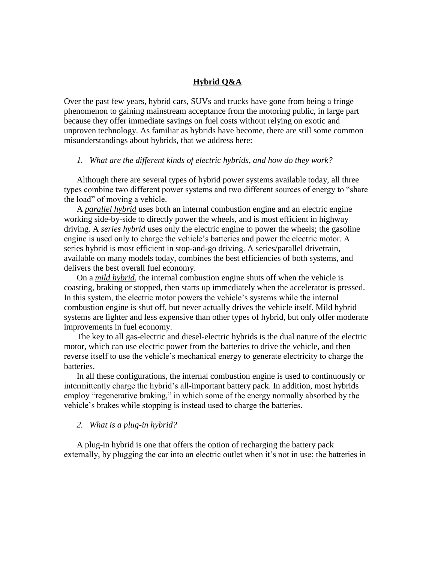# **Hybrid Q&A**

Over the past few years, hybrid cars, SUVs and trucks have gone from being a fringe phenomenon to gaining mainstream acceptance from the motoring public, in large part because they offer immediate savings on fuel costs without relying on exotic and unproven technology. As familiar as hybrids have become, there are still some common misunderstandings about hybrids, that we address here:

#### *1. What are the different kinds of electric hybrids, and how do they work?*

Although there are several types of hybrid power systems available today, all three types combine two different power systems and two different sources of energy to "share the load" of moving a vehicle.

A *parallel hybrid* uses both an internal combustion engine and an electric engine working side-by-side to directly power the wheels, and is most efficient in highway driving. A *series hybrid* uses only the electric engine to power the wheels; the gasoline engine is used only to charge the vehicle's batteries and power the electric motor. A series hybrid is most efficient in stop-and-go driving. A series/parallel drivetrain, available on many models today, combines the best efficiencies of both systems, and delivers the best overall fuel economy.

On a *mild hybrid*, the internal combustion engine shuts off when the vehicle is coasting, braking or stopped, then starts up immediately when the accelerator is pressed. In this system, the electric motor powers the vehicle's systems while the internal combustion engine is shut off, but never actually drives the vehicle itself. Mild hybrid systems are lighter and less expensive than other types of hybrid, but only offer moderate improvements in fuel economy.

The key to all gas-electric and diesel-electric hybrids is the dual nature of the electric motor, which can use electric power from the batteries to drive the vehicle, and then reverse itself to use the vehicle's mechanical energy to generate electricity to charge the batteries.

In all these configurations, the internal combustion engine is used to continuously or intermittently charge the hybrid's all-important battery pack. In addition, most hybrids employ "regenerative braking," in which some of the energy normally absorbed by the vehicle's brakes while stopping is instead used to charge the batteries.

#### *2. What is a plug-in hybrid?*

A plug-in hybrid is one that offers the option of recharging the battery pack externally, by plugging the car into an electric outlet when it's not in use; the batteries in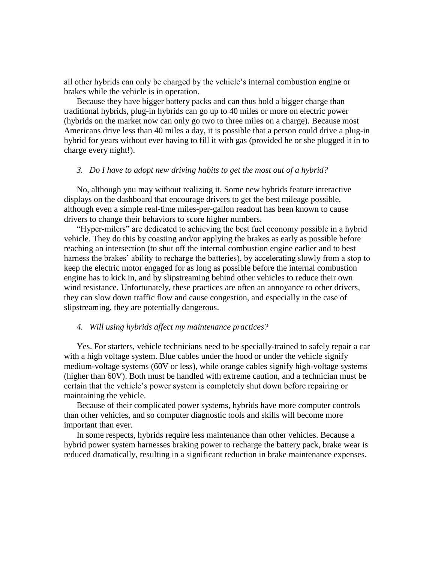all other hybrids can only be charged by the vehicle's internal combustion engine or brakes while the vehicle is in operation.

Because they have bigger battery packs and can thus hold a bigger charge than traditional hybrids, plug-in hybrids can go up to 40 miles or more on electric power (hybrids on the market now can only go two to three miles on a charge). Because most Americans drive less than 40 miles a day, it is possible that a person could drive a plug-in hybrid for years without ever having to fill it with gas (provided he or she plugged it in to charge every night!).

#### *3. Do I have to adopt new driving habits to get the most out of a hybrid?*

No, although you may without realizing it. Some new hybrids feature interactive displays on the dashboard that encourage drivers to get the best mileage possible, although even a simple real-time miles-per-gallon readout has been known to cause drivers to change their behaviors to score higher numbers.

"Hyper-milers" are dedicated to achieving the best fuel economy possible in a hybrid vehicle. They do this by coasting and/or applying the brakes as early as possible before reaching an intersection (to shut off the internal combustion engine earlier and to best harness the brakes' ability to recharge the batteries), by accelerating slowly from a stop to keep the electric motor engaged for as long as possible before the internal combustion engine has to kick in, and by slipstreaming behind other vehicles to reduce their own wind resistance. Unfortunately, these practices are often an annoyance to other drivers, they can slow down traffic flow and cause congestion, and especially in the case of slipstreaming, they are potentially dangerous.

### *4. Will using hybrids affect my maintenance practices?*

Yes. For starters, vehicle technicians need to be specially-trained to safely repair a car with a high voltage system. Blue cables under the hood or under the vehicle signify medium-voltage systems (60V or less), while orange cables signify high-voltage systems (higher than 60V). Both must be handled with extreme caution, and a technician must be certain that the vehicle's power system is completely shut down before repairing or maintaining the vehicle.

Because of their complicated power systems, hybrids have more computer controls than other vehicles, and so computer diagnostic tools and skills will become more important than ever.

In some respects, hybrids require less maintenance than other vehicles. Because a hybrid power system harnesses braking power to recharge the battery pack, brake wear is reduced dramatically, resulting in a significant reduction in brake maintenance expenses.